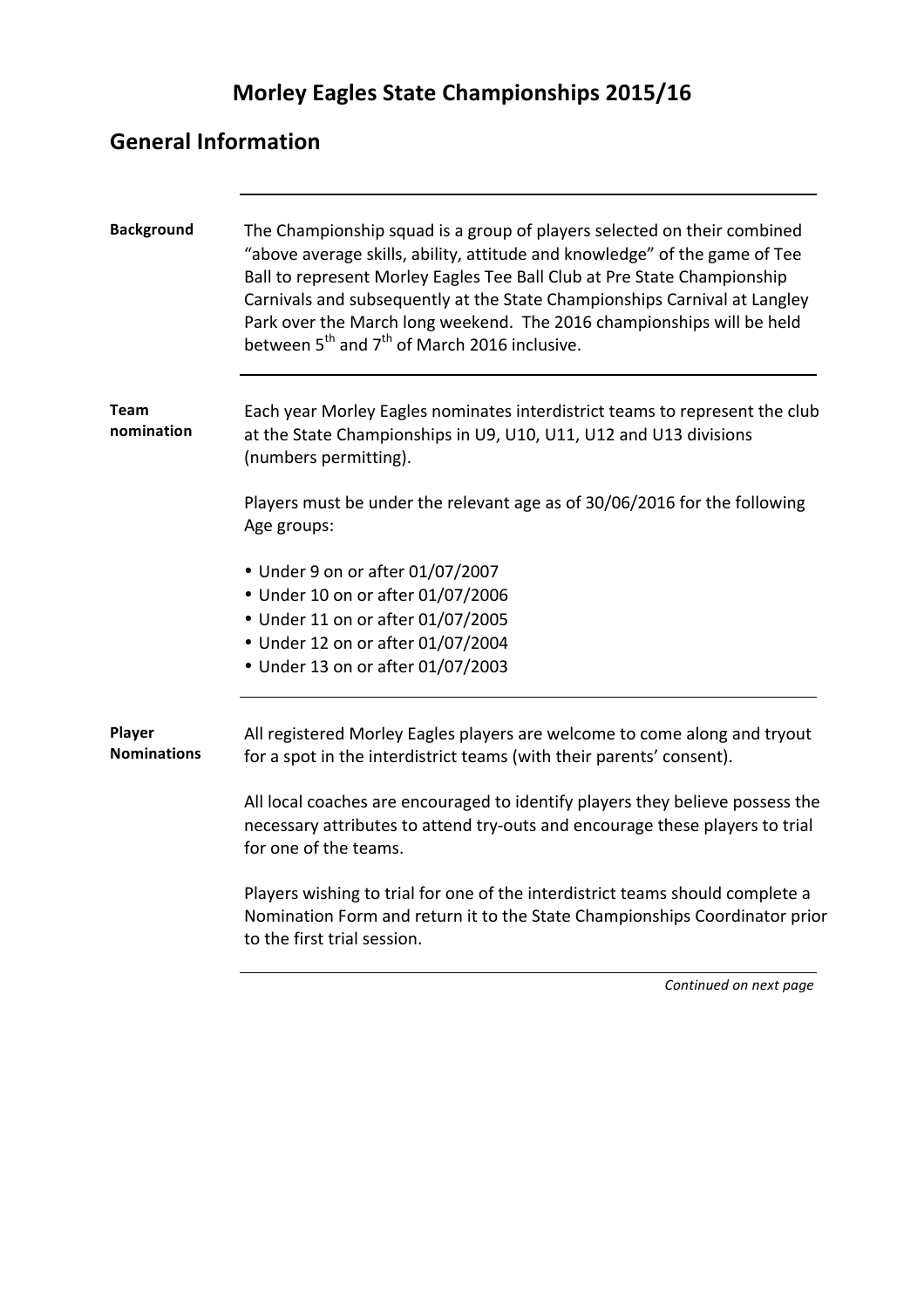# **Morley Eagles State Championships 2015/16**

### **General Information**

| <b>Background</b>            | The Championship squad is a group of players selected on their combined<br>"above average skills, ability, attitude and knowledge" of the game of Tee<br>Ball to represent Morley Eagles Tee Ball Club at Pre State Championship<br>Carnivals and subsequently at the State Championships Carnival at Langley<br>Park over the March long weekend. The 2016 championships will be held<br>between 5 <sup>th</sup> and 7 <sup>th</sup> of March 2016 inclusive. |
|------------------------------|----------------------------------------------------------------------------------------------------------------------------------------------------------------------------------------------------------------------------------------------------------------------------------------------------------------------------------------------------------------------------------------------------------------------------------------------------------------|
| <b>Team</b><br>nomination    | Each year Morley Eagles nominates interdistrict teams to represent the club<br>at the State Championships in U9, U10, U11, U12 and U13 divisions<br>(numbers permitting).                                                                                                                                                                                                                                                                                      |
|                              | Players must be under the relevant age as of 30/06/2016 for the following<br>Age groups:                                                                                                                                                                                                                                                                                                                                                                       |
|                              | • Under 9 on or after 01/07/2007                                                                                                                                                                                                                                                                                                                                                                                                                               |
|                              | • Under 10 on or after 01/07/2006                                                                                                                                                                                                                                                                                                                                                                                                                              |
|                              | • Under 11 on or after 01/07/2005                                                                                                                                                                                                                                                                                                                                                                                                                              |
|                              | • Under 12 on or after 01/07/2004                                                                                                                                                                                                                                                                                                                                                                                                                              |
|                              | • Under 13 on or after 01/07/2003                                                                                                                                                                                                                                                                                                                                                                                                                              |
| Player<br><b>Nominations</b> | All registered Morley Eagles players are welcome to come along and tryout<br>for a spot in the interdistrict teams (with their parents' consent).                                                                                                                                                                                                                                                                                                              |
|                              | All local coaches are encouraged to identify players they believe possess the<br>necessary attributes to attend try-outs and encourage these players to trial<br>for one of the teams.                                                                                                                                                                                                                                                                         |
|                              | Players wishing to trial for one of the interdistrict teams should complete a<br>Nomination Form and return it to the State Championships Coordinator prior<br>to the first trial session.                                                                                                                                                                                                                                                                     |

**Continued on next page**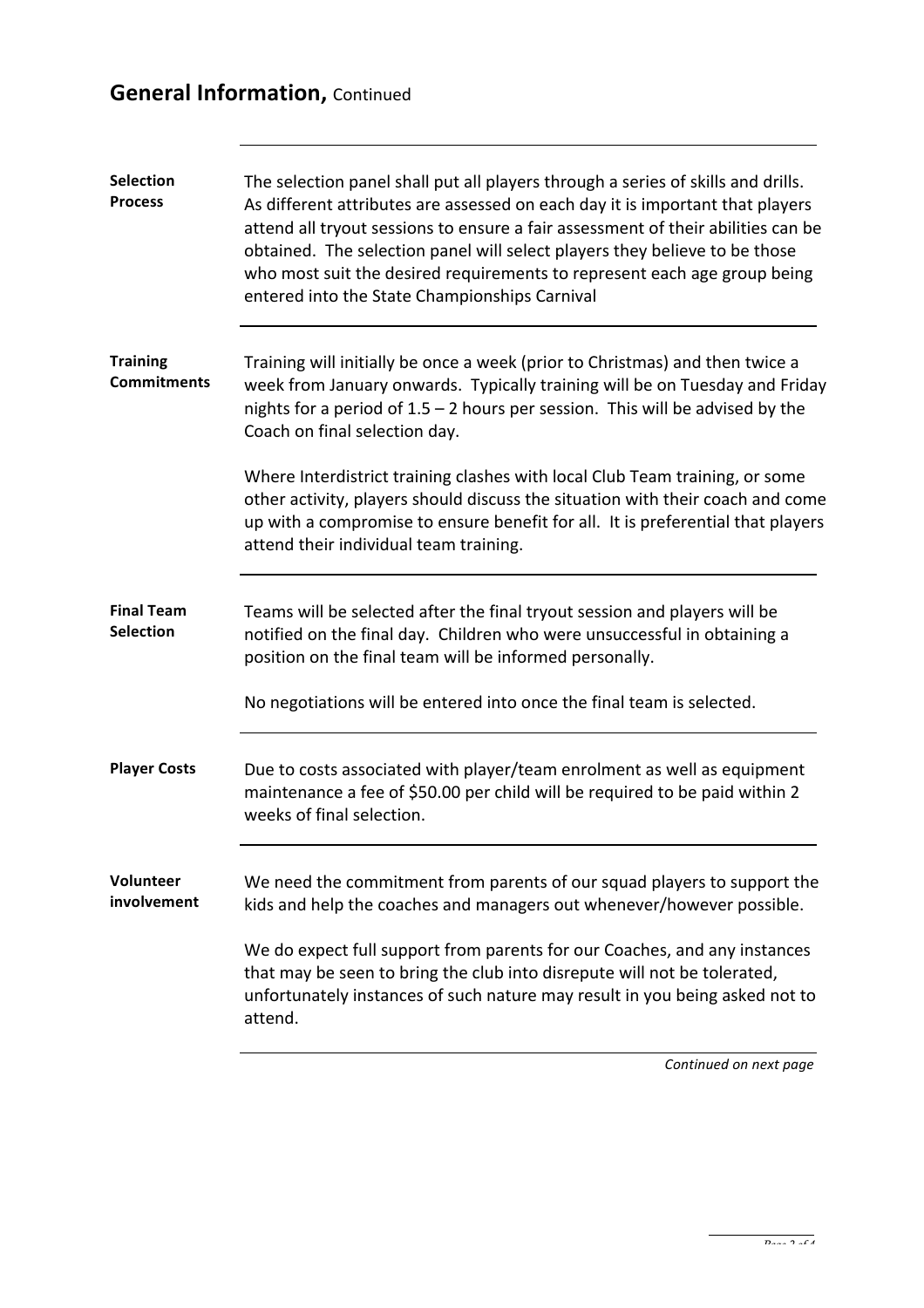## **General Information, Continued**

| <b>Selection</b><br><b>Process</b>    | The selection panel shall put all players through a series of skills and drills.<br>As different attributes are assessed on each day it is important that players<br>attend all tryout sessions to ensure a fair assessment of their abilities can be<br>obtained. The selection panel will select players they believe to be those<br>who most suit the desired requirements to represent each age group being<br>entered into the State Championships Carnival |
|---------------------------------------|------------------------------------------------------------------------------------------------------------------------------------------------------------------------------------------------------------------------------------------------------------------------------------------------------------------------------------------------------------------------------------------------------------------------------------------------------------------|
| <b>Training</b><br><b>Commitments</b> | Training will initially be once a week (prior to Christmas) and then twice a<br>week from January onwards. Typically training will be on Tuesday and Friday<br>nights for a period of $1.5 - 2$ hours per session. This will be advised by the<br>Coach on final selection day.                                                                                                                                                                                  |
|                                       | Where Interdistrict training clashes with local Club Team training, or some<br>other activity, players should discuss the situation with their coach and come<br>up with a compromise to ensure benefit for all. It is preferential that players<br>attend their individual team training.                                                                                                                                                                       |
| <b>Final Team</b><br><b>Selection</b> | Teams will be selected after the final tryout session and players will be<br>notified on the final day. Children who were unsuccessful in obtaining a<br>position on the final team will be informed personally.                                                                                                                                                                                                                                                 |
|                                       | No negotiations will be entered into once the final team is selected.                                                                                                                                                                                                                                                                                                                                                                                            |
| <b>Player Costs</b>                   | Due to costs associated with player/team enrolment as well as equipment<br>maintenance a fee of \$50.00 per child will be required to be paid within 2<br>weeks of final selection.                                                                                                                                                                                                                                                                              |
| <b>Volunteer</b><br>involvement       | We need the commitment from parents of our squad players to support the<br>kids and help the coaches and managers out whenever/however possible.                                                                                                                                                                                                                                                                                                                 |
|                                       | We do expect full support from parents for our Coaches, and any instances<br>that may be seen to bring the club into disrepute will not be tolerated,<br>unfortunately instances of such nature may result in you being asked not to<br>attend.                                                                                                                                                                                                                  |
|                                       |                                                                                                                                                                                                                                                                                                                                                                                                                                                                  |

*Continued on next page*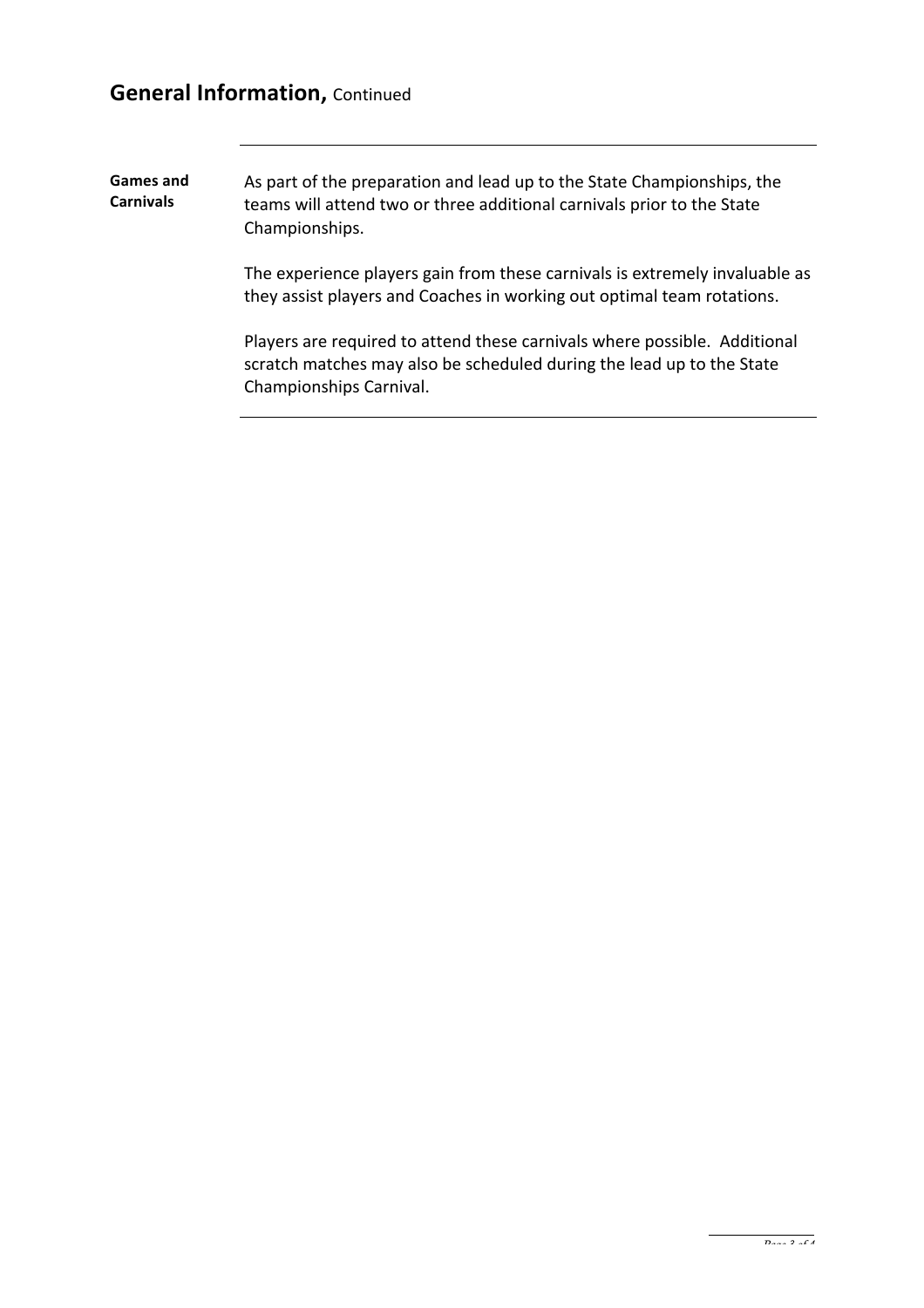#### **General Information, Continued**

Games and **Carnivals** As part of the preparation and lead up to the State Championships, the teams will attend two or three additional carnivals prior to the State Championships.

> The experience players gain from these carnivals is extremely invaluable as they assist players and Coaches in working out optimal team rotations.

Players are required to attend these carnivals where possible. Additional scratch matches may also be scheduled during the lead up to the State Championships Carnival.